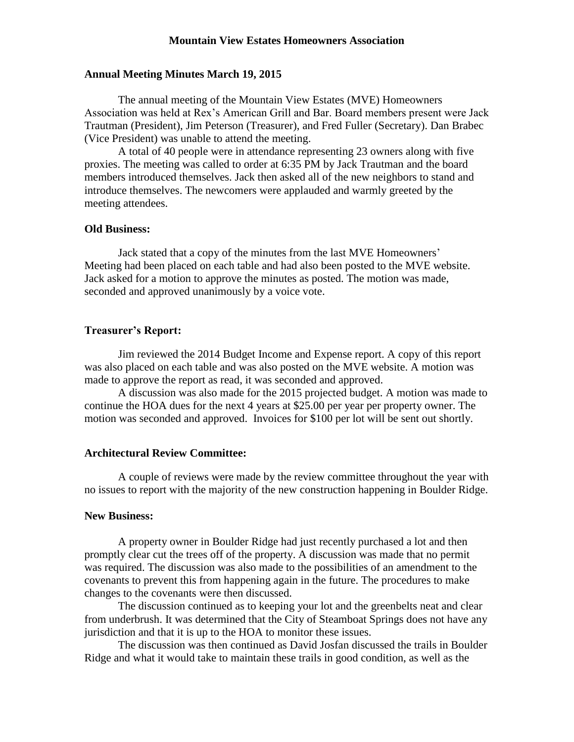### **Mountain View Estates Homeowners Association**

## **Annual Meeting Minutes March 19, 2015**

The annual meeting of the Mountain View Estates (MVE) Homeowners Association was held at Rex's American Grill and Bar. Board members present were Jack Trautman (President), Jim Peterson (Treasurer), and Fred Fuller (Secretary). Dan Brabec (Vice President) was unable to attend the meeting.

A total of 40 people were in attendance representing 23 owners along with five proxies. The meeting was called to order at 6:35 PM by Jack Trautman and the board members introduced themselves. Jack then asked all of the new neighbors to stand and introduce themselves. The newcomers were applauded and warmly greeted by the meeting attendees.

# **Old Business:**

Jack stated that a copy of the minutes from the last MVE Homeowners' Meeting had been placed on each table and had also been posted to the MVE website. Jack asked for a motion to approve the minutes as posted. The motion was made, seconded and approved unanimously by a voice vote.

## **Treasurer's Report:**

Jim reviewed the 2014 Budget Income and Expense report. A copy of this report was also placed on each table and was also posted on the MVE website. A motion was made to approve the report as read, it was seconded and approved.

A discussion was also made for the 2015 projected budget. A motion was made to continue the HOA dues for the next 4 years at \$25.00 per year per property owner. The motion was seconded and approved. Invoices for \$100 per lot will be sent out shortly.

#### **Architectural Review Committee:**

A couple of reviews were made by the review committee throughout the year with no issues to report with the majority of the new construction happening in Boulder Ridge.

## **New Business:**

A property owner in Boulder Ridge had just recently purchased a lot and then promptly clear cut the trees off of the property. A discussion was made that no permit was required. The discussion was also made to the possibilities of an amendment to the covenants to prevent this from happening again in the future. The procedures to make changes to the covenants were then discussed.

The discussion continued as to keeping your lot and the greenbelts neat and clear from underbrush. It was determined that the City of Steamboat Springs does not have any jurisdiction and that it is up to the HOA to monitor these issues.

The discussion was then continued as David Josfan discussed the trails in Boulder Ridge and what it would take to maintain these trails in good condition, as well as the